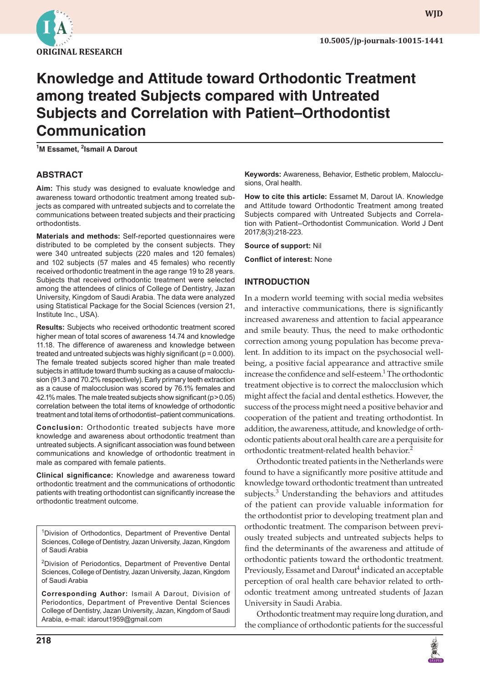

**wjd**

# **Knowledge and Attitude toward Orthodontic Treatment among treated Subjects compared with Untreated Subjects and Correlation with Patient–Orthodontist Communication**

**1 M Essamet, <sup>2</sup> Ismail A Darout**

#### **ABSTRACT**

**Aim:** This study was designed to evaluate knowledge and awareness toward orthodontic treatment among treated subjects as compared with untreated subjects and to correlate the communications between treated subjects and their practicing orthodontists.

**Materials and methods:** Self-reported questionnaires were distributed to be completed by the consent subjects. They were 340 untreated subjects (220 males and 120 females) and 102 subjects (57 males and 45 females) who recently received orthodontic treatment in the age range 19 to 28 years. Subjects that received orthodontic treatment were selected among the attendees of clinics of College of Dentistry, Jazan University, Kingdom of Saudi Arabia. The data were analyzed using Statistical Package for the Social Sciences (version 21, Institute Inc., USA).

**Results:** Subjects who received orthodontic treatment scored higher mean of total scores of awareness 14.74 and knowledge 11.18. The difference of awareness and knowledge between treated and untreated subjects was highly significant (p = 0.000). The female treated subjects scored higher than male treated subjects in attitude toward thumb sucking as a cause of malocclusion (91.3 and 70.2% respectively). Early primary teeth extraction as a cause of malocclusion was scored by 76.1% females and 42.1% males. The male treated subjects show significant (p>0.05) correlation between the total items of knowledge of orthodontic treatment and total items of orthodontist–patient communications.

**Conclusion:** Orthodontic treated subjects have more knowledge and awareness about orthodontic treatment than untreated subjects. A significant association was found between communications and knowledge of orthodontic treatment in male as compared with female patients.

**Clinical significance:** Knowledge and awareness toward orthodontic treatment and the communications of orthodontic patients with treating orthodontist can significantly increase the orthodontic treatment outcome.

<sup>1</sup>Division of Orthodontics, Department of Preventive Dental Sciences, College of Dentistry, Jazan University, Jazan, Kingdom of Saudi Arabia

<sup>2</sup> Division of Periodontics, Department of Preventive Dental Sciences, College of Dentistry, Jazan University, Jazan, Kingdom of Saudi Arabia

**Corresponding Author:** Ismail A Darout, Division of Periodontics, Department of Preventive Dental Sciences College of Dentistry, Jazan University, Jazan, Kingdom of Saudi Arabia, e-mail: idarout1959@gmail.com

**Keywords:** Awareness, Behavior, Esthetic problem, Malocclusions, Oral health.

**How to cite this article:** Essamet M, Darout IA. Knowledge and Attitude toward Orthodontic Treatment among treated Subjects compared with Untreated Subjects and Correlation with Patient–Orthodontist Communication. World J Dent 2017;8(3):218-223.

**Source of support:** Nil

**Conflict of interest:** None

#### **INTRODUCTION**

In a modern world teeming with social media websites and interactive communications, there is significantly increased awareness and attention to facial appearance and smile beauty. Thus, the need to make orthodontic correction among young population has become prevalent. In addition to its impact on the psychosocial wellbeing, a positive facial appearance and attractive smile increase the confidence and self-esteem.<sup>1</sup> The orthodontic treatment objective is to correct the malocclusion which might affect the facial and dental esthetics. However, the success of the process might need a positive behavior and cooperation of the patient and treating orthodontist. In addition, the awareness, attitude, and knowledge of orthodontic patients about oral health care are a perquisite for orthodontic treatment-related health behavior.<sup>2</sup>

Orthodontic treated patients in the Netherlands were found to have a significantly more positive attitude and knowledge toward orthodontic treatment than untreated subjects.<sup>3</sup> Understanding the behaviors and attitudes of the patient can provide valuable information for the orthodontist prior to developing treatment plan and orthodontic treatment. The comparison between previously treated subjects and untreated subjects helps to find the determinants of the awareness and attitude of orthodontic patients toward the orthodontic treatment. Previously, Essamet and Darout<sup>4</sup> indicated an acceptable perception of oral health care behavior related to orthodontic treatment among untreated students of Jazan University in Saudi Arabia.

Orthodontic treatment may require long duration, and the compliance of orthodontic patients for the successful

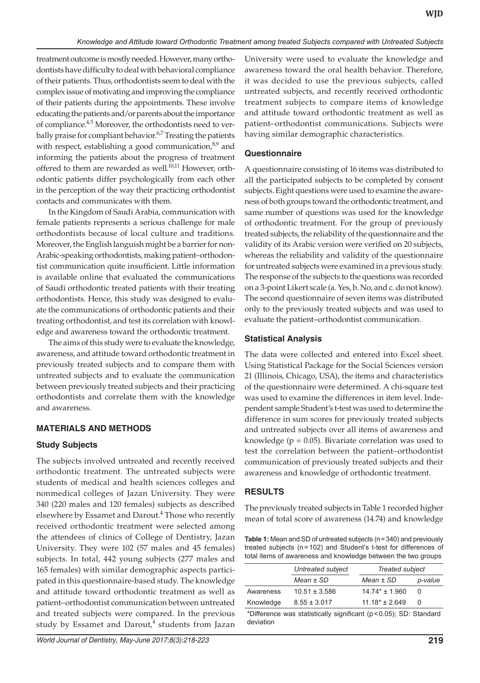treatment outcome is mostly needed. However, many orthodontists have difficulty to deal with behavioral compliance of their patients. Thus, orthodontists seem to deal with the complex issue of motivating and improving the compliance of their patients during the appointments. These involve educating the patients and/or parents about the importance of compliance.<sup>4,5</sup> Moreover, the orthodontists need to verbally praise for compliant behavior.<sup>6,7</sup> Treating the patients with respect, establishing a good communication, $8,9$  and informing the patients about the progress of treatment offered to them are rewarded as well. $10,11$  However, orthodontic patients differ psychologically from each other in the perception of the way their practicing orthodontist contacts and communicates with them.

In the Kingdom of Saudi Arabia, communication with female patients represents a serious challenge for male orthodontists because of local culture and traditions. Moreover, the English languish might be a barrier for non-Arabic-speaking orthodontists, making patient–orthodontist communication quite insufficient. Little information is available online that evaluated the communications of Saudi orthodontic treated patients with their treating orthodontists. Hence, this study was designed to evaluate the communications of orthodontic patients and their treating orthodontist, and test its correlation with knowledge and awareness toward the orthodontic treatment.

The aims of this study were to evaluate the knowledge, awareness, and attitude toward orthodontic treatment in previously treated subjects and to compare them with untreated subjects and to evaluate the communication between previously treated subjects and their practicing orthodontists and correlate them with the knowledge and awareness.

# **MATERIALS AND METHODS**

# **Study Subjects**

The subjects involved untreated and recently received orthodontic treatment. The untreated subjects were students of medical and health sciences colleges and nonmedical colleges of Jazan University. They were 340 (220 males and 120 females) subjects as described elsewhere by Essamet and Darout.<sup>4</sup> Those who recently received orthodontic treatment were selected among the attendees of clinics of College of Dentistry, Jazan University. They were 102 (57 males and 45 females) subjects. In total, 442 young subjects (277 males and 165 females) with similar demographic aspects participated in this questionnaire-based study. The knowledge and attitude toward orthodontic treatment as well as patient–orthodontist communication between untreated and treated subjects were compared. In the previous study by Essamet and Darout, $4$  students from Jazan

University were used to evaluate the knowledge and awareness toward the oral health behavior. Therefore, it was decided to use the previous subjects, called untreated subjects, and recently received orthodontic treatment subjects to compare items of knowledge and attitude toward orthodontic treatment as well as patient–orthodontist communications. Subjects were having similar demographic characteristics.

#### **Questionnaire**

A questionnaire consisting of 16 items was distributed to all the participated subjects to be completed by consent subjects. Eight questions were used to examine the awareness of both groups toward the orthodontic treatment, and same number of questions was used for the knowledge of orthodontic treatment. For the group of previously treated subjects, the reliability of the questionnaire and the validity of its Arabic version were verified on 20 subjects, whereas the reliability and validity of the questionnaire for untreated subjects were examined in a previous study. The response of the subjects to the questions was recorded on a 3-point Likert scale (a. Yes, b. No, and c. do not know). The second questionnaire of seven items was distributed only to the previously treated subjects and was used to evaluate the patient–orthodontist communication.

#### **Statistical Analysis**

The data were collected and entered into Excel sheet. Using Statistical Package for the Social Sciences version 21 (Illinois, Chicago, USA), the items and characteristics of the questionnaire were determined. A chi-square test was used to examine the differences in item level. Independent sample Student's t-test was used to determine the difference in sum scores for previously treated subjects and untreated subjects over all items of awareness and knowledge ( $p = 0.05$ ). Bivariate correlation was used to test the correlation between the patient–orthodontist communication of previously treated subjects and their awareness and knowledge of orthodontic treatment.

# **RESULTS**

The previously treated subjects in Table 1 recorded higher mean of total score of awareness (14.74) and knowledge

**Table 1:** Mean and SD of untreated subjects (n=340) and previously treated subjects (n=102) and Student's t-test for differences of total items of awareness and knowledge between the two groups

|                      | Untreated subject | Treated subject    |              |
|----------------------|-------------------|--------------------|--------------|
|                      | $Mean \pm SD$     | $Mean \pm SD$      | p-value      |
| Awareness            | $10.51 \pm 3.586$ | $14.74* \pm 1.960$ | <sup>0</sup> |
| Knowledge            | $8.55 \pm 3.017$  | $11.18* + 2.649$   | <sup>0</sup> |
| $\sim$ $\sim$ $\sim$ |                   |                    |              |

 $D$ ifference was statistically significant ( $p < 0.05$ ); SD: Standard deviation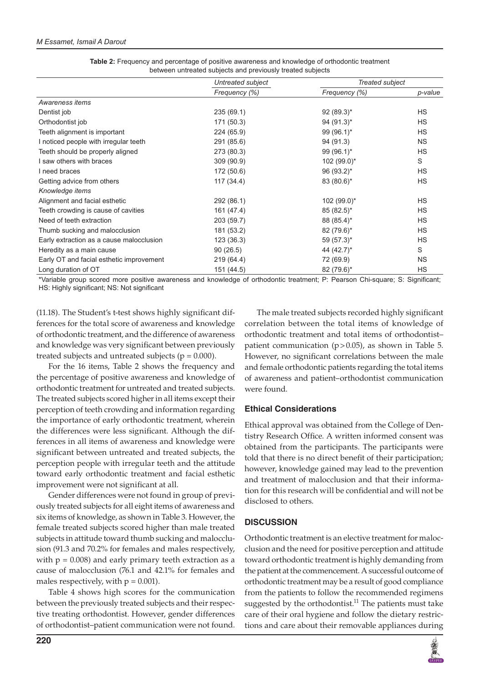|                                          | Untreated subject | Treated subject |           |
|------------------------------------------|-------------------|-----------------|-----------|
|                                          | Frequency (%)     | Frequency (%)   | p-value   |
| Awareness items                          |                   |                 |           |
| Dentist job                              | 235(69.1)         | $92 (89.3)^*$   | <b>HS</b> |
| Orthodontist job                         | 171 (50.3)        | 94 $(91.3)^*$   | HS        |
| Teeth alignment is important             | 224 (65.9)        | $99(96.1)^*$    | <b>HS</b> |
| I noticed people with irregular teeth    | 291 (85.6)        | 94 (91.3)       | <b>NS</b> |
| Teeth should be properly aligned         | 273 (80.3)        | $99(96.1)^*$    | <b>HS</b> |
| I saw others with braces                 | 309 (90.9)        | $102 (99.0)^*$  | S         |
| I need braces                            | 172 (50.6)        | 96 (93.2)*      | <b>HS</b> |
| Getting advice from others               | 117(34.4)         | 83 (80.6)*      | <b>HS</b> |
| Knowledge items                          |                   |                 |           |
| Alignment and facial esthetic            | 292 (86.1)        | 102 (99.0)*     | <b>HS</b> |
| Teeth crowding is cause of cavities      | 161 (47.4)        | $85(82.5)^*$    | <b>HS</b> |
| Need of teeth extraction                 | 203 (59.7)        | 88 (85.4)*      | HS        |
| Thumb sucking and malocclusion           | 181 (53.2)        | 82 (79.6)*      | <b>HS</b> |
| Early extraction as a cause malocclusion | 123(36.3)         | 59 (57.3)*      | <b>HS</b> |
| Heredity as a main cause                 | 90(26.5)          | 44 (42.7)*      | S         |
| Early OT and facial esthetic improvement | 219 (64.4)        | 72 (69.9)       | <b>NS</b> |
| Long duration of OT                      | 151 (44.5)        | 82 (79.6)*      | <b>HS</b> |

| <b>Table 2:</b> Frequency and percentage of positive awareness and knowledge of orthodontic treatment |
|-------------------------------------------------------------------------------------------------------|
| between untreated subjects and previously treated subjects                                            |

\*Variable group scored more positive awareness and knowledge of orthodontic treatment; P: Pearson Chi-square; S: Significant; HS: Highly significant; NS: Not significant

(11.18). The Student's t-test shows highly significant differences for the total score of awareness and knowledge of orthodontic treatment, and the difference of awareness and knowledge was very significant between previously treated subjects and untreated subjects  $(p = 0.000)$ .

For the 16 items, Table 2 shows the frequency and the percentage of positive awareness and knowledge of orthodontic treatment for untreated and treated subjects. The treated subjects scored higher in all items except their perception of teeth crowding and information regarding the importance of early orthodontic treatment, wherein the differences were less significant. Although the differences in all items of awareness and knowledge were significant between untreated and treated subjects, the perception people with irregular teeth and the attitude toward early orthodontic treatment and facial esthetic improvement were not significant at all.

Gender differences were not found in group of previously treated subjects for all eight items of awareness and six items of knowledge, as shown in Table 3. However, the female treated subjects scored higher than male treated subjects in attitude toward thumb sucking and malocclusion (91.3 and 70.2% for females and males respectively, with  $p = 0.008$ ) and early primary teeth extraction as a cause of malocclusion (76.1 and 42.1% for females and males respectively, with  $p = 0.001$ ).

Table 4 shows high scores for the communication between the previously treated subjects and their respective treating orthodontist. However, gender differences of orthodontist–patient communication were not found.

The male treated subjects recorded highly significant correlation between the total items of knowledge of orthodontic treatment and total items of orthodontist– patient communication  $(p>0.05)$ , as shown in Table 5. However, no significant correlations between the male and female orthodontic patients regarding the total items of awareness and patient–orthodontist communication were found.

# **Ethical Considerations**

Ethical approval was obtained from the College of Dentistry Research Office. A written informed consent was obtained from the participants. The participants were told that there is no direct benefit of their participation; however, knowledge gained may lead to the prevention and treatment of malocclusion and that their information for this research will be confidential and will not be disclosed to others.

# **DISCUSSION**

Orthodontic treatment is an elective treatment for malocclusion and the need for positive perception and attitude toward orthodontic treatment is highly demanding from the patient at the commencement. A successful outcome of orthodontic treatment may be a result of good compliance from the patients to follow the recommended regimens suggested by the orthodontist.<sup>11</sup> The patients must take care of their oral hygiene and follow the dietary restrictions and care about their removable appliances during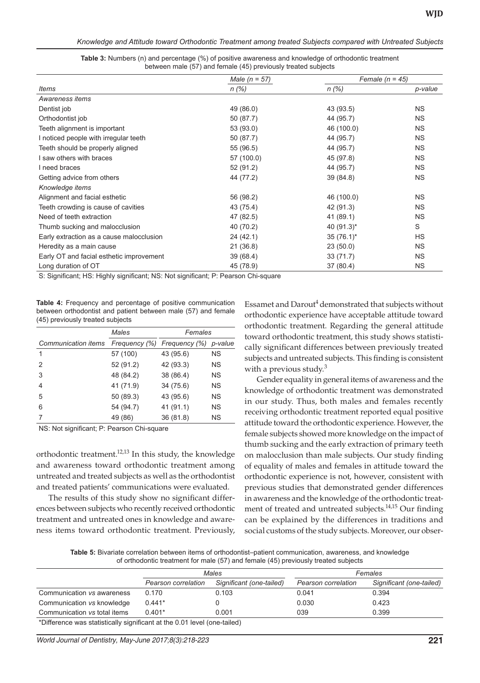|                                          | Male $(n = 57)$ | Female $(n = 45)$ |           |  |
|------------------------------------------|-----------------|-------------------|-----------|--|
| <b>Items</b>                             | $n (\%)$        | $n$ (%)           | p-value   |  |
| Awareness items                          |                 |                   |           |  |
| Dentist job                              | 49 (86.0)       | 43 (93.5)         | <b>NS</b> |  |
| Orthodontist job                         | 50 (87.7)       | 44 (95.7)         | <b>NS</b> |  |
| Teeth alignment is important             | 53 (93.0)       | 46 (100.0)        | <b>NS</b> |  |
| I noticed people with irregular teeth    | 50 (87.7)       | 44 (95.7)         | <b>NS</b> |  |
| Teeth should be properly aligned         | 55 (96.5)       | 44 (95.7)         | <b>NS</b> |  |
| I saw others with braces                 | 57 (100.0)      | 45 (97.8)         | <b>NS</b> |  |
| I need braces                            | 52 (91.2)       | 44 (95.7)         | <b>NS</b> |  |
| Getting advice from others               | 44 (77.2)       | 39(84.8)          | <b>NS</b> |  |
| Knowledge items                          |                 |                   |           |  |
| Alignment and facial esthetic            | 56 (98.2)       | 46 (100.0)        | <b>NS</b> |  |
| Teeth crowding is cause of cavities      | 43 (75.4)       | 42 (91.3)         | <b>NS</b> |  |
| Need of teeth extraction                 | 47 (82.5)       | 41 (89.1)         | <b>NS</b> |  |
| Thumb sucking and malocclusion           | 40 (70.2)       | 40 (91.3)*        | S         |  |
| Early extraction as a cause malocclusion | 24(42.1)        | $35(76.1)^*$      | HS        |  |
| Heredity as a main cause                 | 21(36.8)        | 23(50.0)          | <b>NS</b> |  |
| Early OT and facial esthetic improvement | 39 (68.4)       | 33(71.7)          | <b>NS</b> |  |
| Long duration of OT                      | 45 (78.9)       | 37 (80.4)         | <b>NS</b> |  |

**Table 3:** Numbers (n) and percentage (%) of positive awareness and knowledge of orthodontic treatment between male (57) and female (45) previously treated subjects

S: Significant; HS: Highly significant; NS: Not significant; P: Pearson Chi-square

**Table 4:** Frequency and percentage of positive communication between orthodontist and patient between male (57) and female (45) previously treated subjects

|                     | Males         | Females       |           |
|---------------------|---------------|---------------|-----------|
| Communication items | Frequency (%) | Frequency (%) | p-value   |
| 1                   | 57 (100)      | 43 (95.6)     | <b>NS</b> |
| $\mathcal{P}$       | 52 (91.2)     | 42 (93.3)     | <b>NS</b> |
| 3                   | 48 (84.2)     | 38 (86.4)     | <b>NS</b> |
| 4                   | 41 (71.9)     | 34 (75.6)     | ΝS        |
| 5                   | 50 (89.3)     | 43 (95.6)     | ΝS        |
| 6                   | 54 (94.7)     | 41 (91.1)     | ΝS        |
|                     | 49 (86)       | 36 (81.8)     | ΝS        |

NS: Not significant; P: Pearson Chi-square

orthodontic treatment.<sup>12,13</sup> In this study, the knowledge and awareness toward orthodontic treatment among untreated and treated subjects as well as the orthodontist and treated patients' communications were evaluated.

The results of this study show no significant differences between subjects who recently received orthodontic treatment and untreated ones in knowledge and awareness items toward orthodontic treatment. Previously,

Essamet and Darout $^4$  demonstrated that subjects without orthodontic experience have acceptable attitude toward orthodontic treatment. Regarding the general attitude toward orthodontic treatment, this study shows statistically significant differences between previously treated subjects and untreated subjects. This finding is consistent with a previous study. $3$ 

Gender equality in general items of awareness and the knowledge of orthodontic treatment was demonstrated in our study. Thus, both males and females recently receiving orthodontic treatment reported equal positive attitude toward the orthodontic experience. However, the female subjects showed more knowledge on the impact of thumb sucking and the early extraction of primary teeth on malocclusion than male subjects. Our study finding of equality of males and females in attitude toward the orthodontic experience is not, however, consistent with previous studies that demonstrated gender differences in awareness and the knowledge of the orthodontic treatment of treated and untreated subjects.<sup>14,15</sup> Our finding can be explained by the differences in traditions and social customs of the study subjects. Moreover, our obser-

**Table 5:** Bivariate correlation between items of orthodontist–patient communication, awareness, and knowledge of orthodontic treatment for male (57) and female (45) previously treated subjects

|                                                                          |                     | Males                    |                     | Females                  |
|--------------------------------------------------------------------------|---------------------|--------------------------|---------------------|--------------------------|
|                                                                          | Pearson correlation | Significant (one-tailed) | Pearson correlation | Significant (one-tailed) |
| Communication vs awareness                                               | 0.170               | 0.103                    | 0.041               | 0.394                    |
| Communication vs knowledge                                               | $0.441*$            |                          | 0.030               | 0.423                    |
| Communication vs total items                                             | $0.401*$            | 0.001                    | 039                 | 0.399                    |
| *Difference was statistically significant at the 0.01 level (one-tailed) |                     |                          |                     |                          |

*World Journal of Dentistry, May-June 2017;8(3):218-223* **221**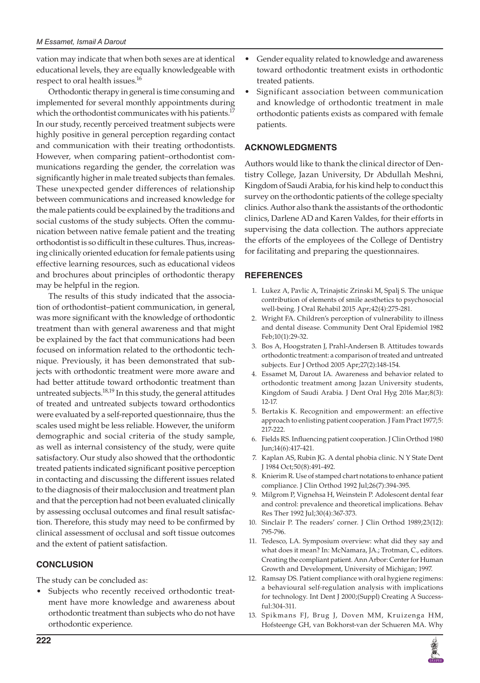vation may indicate that when both sexes are at identical educational levels, they are equally knowledgeable with respect to oral health issues.<sup>16</sup>

Orthodontic therapy in general is time consuming and implemented for several monthly appointments during which the orthodontist communicates with his patients.<sup>17</sup> In our study, recently perceived treatment subjects were highly positive in general perception regarding contact and communication with their treating orthodontists. However, when comparing patient–orthodontist communications regarding the gender, the correlation was significantly higher in male treated subjects than females. These unexpected gender differences of relationship between communications and increased knowledge for the male patients could be explained by the traditions and social customs of the study subjects. Often the communication between native female patient and the treating orthodontist is so difficult in these cultures. Thus, increasing clinically oriented education for female patients using effective learning resources, such as educational videos and brochures about principles of orthodontic therapy may be helpful in the region.

The results of this study indicated that the association of orthodontist–patient communication, in general, was more significant with the knowledge of orthodontic treatment than with general awareness and that might be explained by the fact that communications had been focused on information related to the orthodontic technique. Previously, it has been demonstrated that subjects with orthodontic treatment were more aware and had better attitude toward orthodontic treatment than untreated subjects.<sup>18,19</sup> In this study, the general attitudes of treated and untreated subjects toward orthodontics were evaluated by a self-reported questionnaire, thus the scales used might be less reliable. However, the uniform demographic and social criteria of the study sample, as well as internal consistency of the study, were quite satisfactory. Our study also showed that the orthodontic treated patients indicated significant positive perception in contacting and discussing the different issues related to the diagnosis of their malocclusion and treatment plan and that the perception had not been evaluated clinically by assessing occlusal outcomes and final result satisfaction. Therefore, this study may need to be confirmed by clinical assessment of occlusal and soft tissue outcomes and the extent of patient satisfaction.

# **CONCLUSION**

The study can be concluded as:

Subjects who recently received orthodontic treatment have more knowledge and awareness about orthodontic treatment than subjects who do not have orthodontic experience.

- Gender equality related to knowledge and awareness toward orthodontic treatment exists in orthodontic treated patients.
- • Significant association between communication and knowledge of orthodontic treatment in male orthodontic patients exists as compared with female patients.

#### **ACKNOWLEDGMENTS**

Authors would like to thank the clinical director of Dentistry College, Jazan University, Dr Abdullah Meshni, Kingdom of Saudi Arabia, for his kind help to conduct this survey on the orthodontic patients of the college specialty clinics. Author also thank the assistants of the orthodontic clinics, Darlene AD and Karen Valdes, for their efforts in supervising the data collection. The authors appreciate the efforts of the employees of the College of Dentistry for facilitating and preparing the questionnaires.

#### **REFERENCES**

- 1. Lukez A, Pavlic A, Trinajstic Zrinski M, Spalj S. The unique contribution of elements of smile aesthetics to psychosocial well-being. J Oral Rehabil 2015 Apr;42(4):275-281.
- 2. Wright FA. Children's perception of vulnerability to illness and dental disease. Community Dent Oral Epidemiol 1982 Feb;10(1):29-32.
- 3. Bos A, Hoogstraten J, Prahl-Andersen B. Attitudes towards orthodontic treatment: a comparison of treated and untreated subjects. Eur J Orthod 2005 Apr;27(2):148-154.
- 4. Essamet M, Darout IA. Awareness and behavior related to orthodontic treatment among Jazan University students, Kingdom of Saudi Arabia. J Dent Oral Hyg 2016 Mar;8(3): 12-17.
- 5. Bertakis K. Recognition and empowerment: an effective approach to enlisting patient cooperation. J Fam Pract 1977;5: 217-222.
- 6. Fields RS. Influencing patient cooperation. J Clin Orthod 1980 Jun;14(6):417-421.
- 7. Kaplan AS, Rubin JG. A dental phobia clinic. N Y State Dent J 1984 Oct;50(8):491-492.
- 8. Knierim R. Use of stamped chart notations to enhance patient compliance. J Clin Orthod 1992 Jul;26(7):394-395.
- 9. Milgrom P, Vignehsa H, Weinstein P. Adolescent dental fear and control: prevalence and theoretical implications. Behav Res Ther 1992 Jul;30(4):367-373.
- 10. Sinclair P. The readers' corner. J Clin Orthod 1989;23(12): 795-796.
- 11. Tedesco, LA. Symposium overview: what did they say and what does it mean? In: McNamara, JA.; Trotman, C., editors. Creating the compliant patient. Ann Arbor: Center for Human Growth and Development, University of Michigan; 1997.
- 12. Ramsay DS. Patient compliance with oral hygiene regimens: a behavioural self-regulation analysis with implications for technology. Int Dent J 2000;(Suppl) Creating A Successful:304-311.
- 13. Spikmans FJ, Brug J, Doven MM, Kruizenga HM, Hofsteenge GH, van Bokhorst-van der Schueren MA. Why